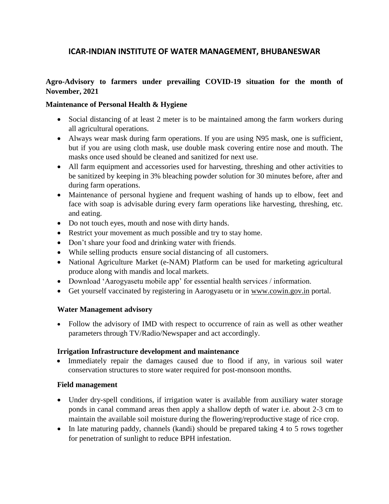# **ICAR-INDIAN INSTITUTE OF WATER MANAGEMENT, BHUBANESWAR**

## **Agro-Advisory to farmers under prevailing COVID-19 situation for the month of November, 2021**

#### **Maintenance of Personal Health & Hygiene**

- Social distancing of at least 2 meter is to be maintained among the farm workers during all agricultural operations.
- Always wear mask during farm operations. If you are using N95 mask, one is sufficient, but if you are using cloth mask, use double mask covering entire nose and mouth. The masks once used should be cleaned and sanitized for next use.
- All farm equipment and accessories used for harvesting, threshing and other activities to be sanitized by keeping in 3% bleaching powder solution for 30 minutes before, after and during farm operations.
- Maintenance of personal hygiene and frequent washing of hands up to elbow, feet and face with soap is advisable during every farm operations like harvesting, threshing, etc. and eating.
- Do not touch eyes, mouth and nose with dirty hands.
- Restrict your movement as much possible and try to stay home.
- Don't share your food and drinking water with friends.
- While selling products ensure social distancing of all customers.
- National Agriculture Market (e-NAM) Platform can be used for marketing agricultural produce along with mandis and local markets.
- Download 'Aarogyasetu mobile app' for essential health services / information.
- Get yourself vaccinated by registering in Aarogyasetu or in [www.cowin.gov.in](http://www.cowin.gov.in/) portal.

## **Water Management advisory**

 Follow the advisory of IMD with respect to occurrence of rain as well as other weather parameters through TV/Radio/Newspaper and act accordingly.

## **Irrigation Infrastructure development and maintenance**

• Immediately repair the damages caused due to flood if any, in various soil water conservation structures to store water required for post-monsoon months.

## **Field management**

- Under dry-spell conditions, if irrigation water is available from auxiliary water storage ponds in canal command areas then apply a shallow depth of water i.e. about 2-3 cm to maintain the available soil moisture during the flowering/reproductive stage of rice crop.
- In late maturing paddy, channels (kandi) should be prepared taking 4 to 5 rows together for penetration of sunlight to reduce BPH infestation.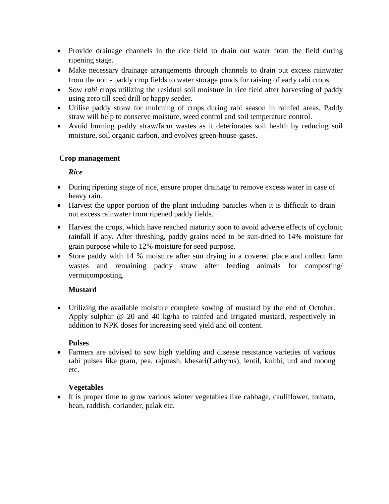- Provide drainage channels in the rice field to drain out water from the field during ripening stage.
- Make necessary drainage arrangements through channels to drain out excess rainwater from the non - paddy crop fields to water storage ponds for raising of early rabi crops.
- Sow *rabi* crops utilizing the residual soil moisture in rice field after harvesting of paddy using zero till seed drill or happy seeder.
- Utilise paddy straw for mulching of crops during rabi season in rainfed areas. Paddy straw will help to conserve moisture, weed control and soil temperature control.
- Avoid burning paddy straw/farm wastes as it deteriorates soil health by reducing soil moisture, soil organic carbon, and evolves green-house-gases.

## **Crop management**

## *Rice*

- During ripening stage of rice, ensure proper drainage to remove excess water in case of heavy rain.
- Harvest the upper portion of the plant including panicles when it is difficult to drain out excess rainwater from ripened paddy fields.
- Harvest the crops, which have reached maturity soon to avoid adverse effects of cyclonic rainfall if any. After threshing, paddy grains need to be sun-dried to 14% moisture for grain purpose while to 12% moisture for seed purpose.
- Store paddy with 14 % moisture after sun drying in a covered place and collect farm wastes and remaining paddy straw after feeding animals for composting/ vermicomposting.

## **Mustard**

 Utilizing the available moisture complete sowing of mustard by the end of October. Apply sulphur @ 20 and 40 kg/ha to rainfed and irrigated mustard, respectively in addition to NPK doses for increasing seed yield and oil content.

## **Pulses**

 Farmers are advised to sow high yielding and disease resistance varieties of various rabi pulses like gram, pea, rajmash, khesari(Lathyrus), lentil, kulthi, urd and moong etc.

## **Vegetables**

 It is proper time to grow various winter vegetables like cabbage, cauliflower, tomato, bean, raddish, coriander, palak etc.